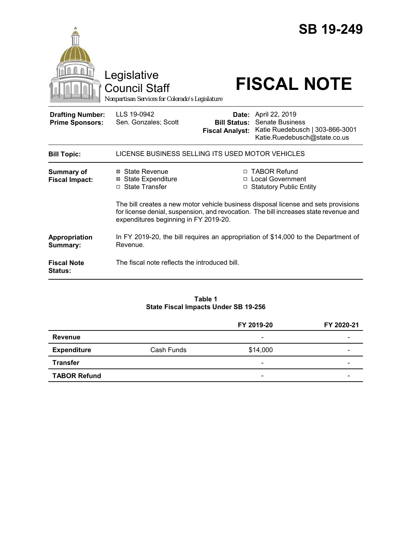

#### **Table 1 State Fiscal Impacts Under SB 19-256**

|                     |            | FY 2019-20               | FY 2020-21               |
|---------------------|------------|--------------------------|--------------------------|
| <b>Revenue</b>      |            | -                        |                          |
| <b>Expenditure</b>  | Cash Funds | \$14,000                 | -                        |
| <b>Transfer</b>     |            | $\overline{\phantom{0}}$ | $\overline{\phantom{0}}$ |
| <b>TABOR Refund</b> |            | $\overline{\phantom{a}}$ | -                        |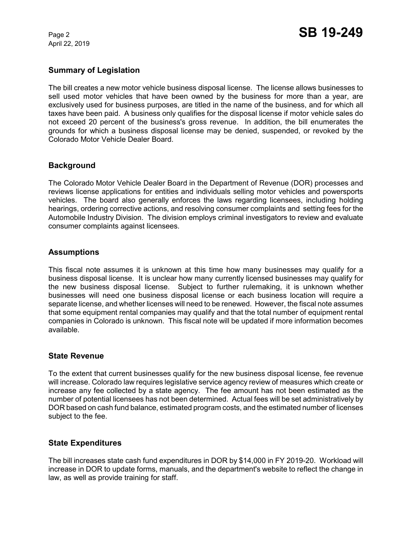April 22, 2019

# **Summary of Legislation**

The bill creates a new motor vehicle business disposal license. The license allows businesses to sell used motor vehicles that have been owned by the business for more than a year, are exclusively used for business purposes, are titled in the name of the business, and for which all taxes have been paid. A business only qualifies for the disposal license if motor vehicle sales do not exceed 20 percent of the business's gross revenue. In addition, the bill enumerates the grounds for which a business disposal license may be denied, suspended, or revoked by the Colorado Motor Vehicle Dealer Board.

# **Background**

The Colorado Motor Vehicle Dealer Board in the Department of Revenue (DOR) processes and reviews license applications for entities and individuals selling motor vehicles and powersports vehicles. The board also generally enforces the laws regarding licensees, including holding hearings, ordering corrective actions, and resolving consumer complaints and setting fees for the Automobile Industry Division. The division employs criminal investigators to review and evaluate consumer complaints against licensees.

# **Assumptions**

This fiscal note assumes it is unknown at this time how many businesses may qualify for a business disposal license. It is unclear how many currently licensed businesses may qualify for the new business disposal license. Subject to further rulemaking, it is unknown whether businesses will need one business disposal license or each business location will require a separate license, and whether licenses will need to be renewed. However, the fiscal note assumes that some equipment rental companies may qualify and that the total number of equipment rental companies in Colorado is unknown. This fiscal note will be updated if more information becomes available.

# **State Revenue**

To the extent that current businesses qualify for the new business disposal license, fee revenue will increase. Colorado law requires legislative service agency review of measures which create or increase any fee collected by a state agency. The fee amount has not been estimated as the number of potential licensees has not been determined. Actual fees will be set administratively by DOR based on cash fund balance, estimated program costs, and the estimated number of licenses subject to the fee.

# **State Expenditures**

The bill increases state cash fund expenditures in DOR by \$14,000 in FY 2019-20. Workload will increase in DOR to update forms, manuals, and the department's website to reflect the change in law, as well as provide training for staff.